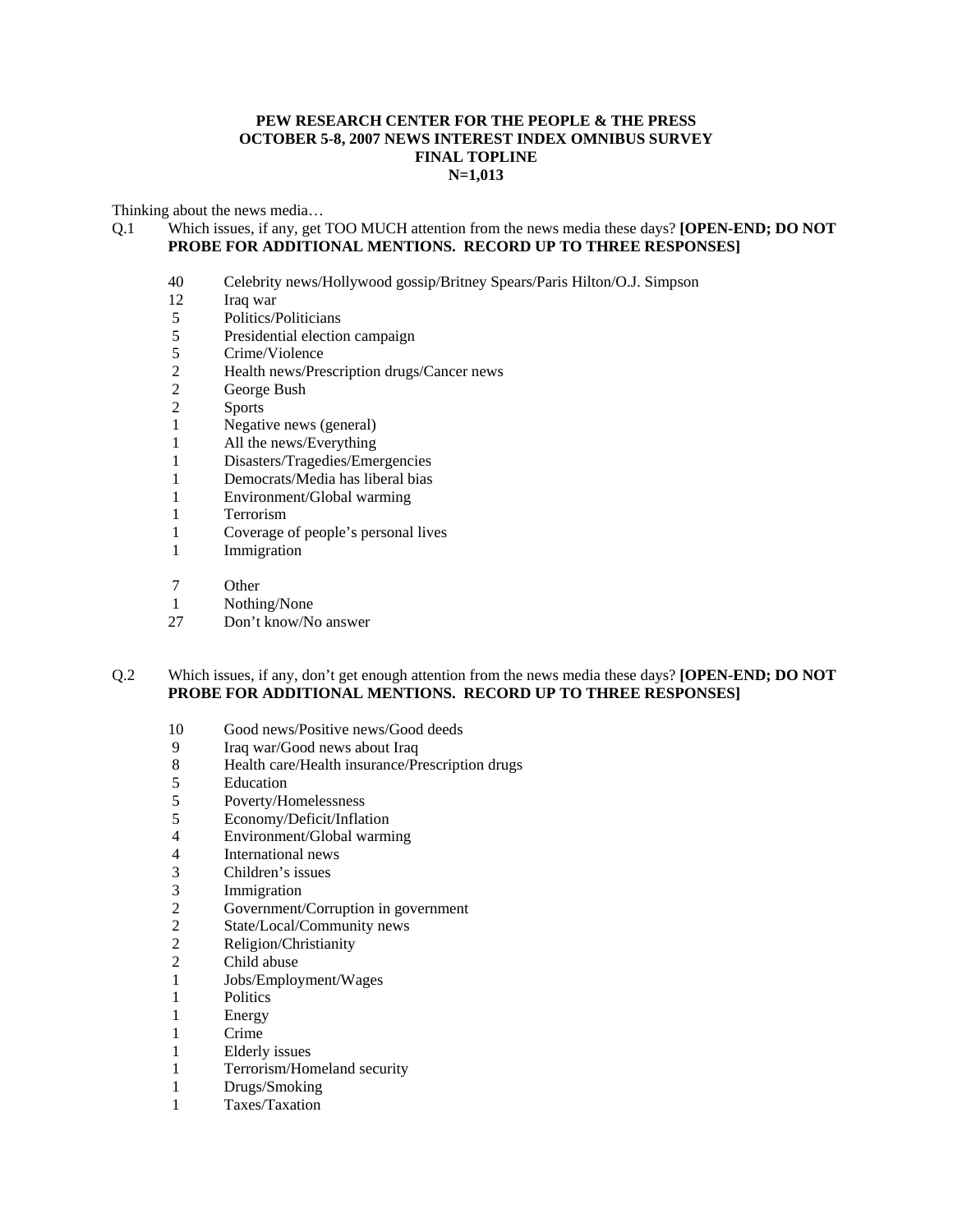#### **PEW RESEARCH CENTER FOR THE PEOPLE & THE PRESS OCTOBER 5-8, 2007 NEWS INTEREST INDEX OMNIBUS SURVEY FINAL TOPLINE N=1,013**

Thinking about the news media…

### Q.1 Which issues, if any, get TOO MUCH attention from the news media these days? **[OPEN-END; DO NOT PROBE FOR ADDITIONAL MENTIONS. RECORD UP TO THREE RESPONSES]**

- 40 Celebrity news/Hollywood gossip/Britney Spears/Paris Hilton/O.J. Simpson
- 12 Iraq war<br>5 Politics/F
- 5 Politics/Politicians<br>5 Presidential election
- Presidential election campaign
- 5 Crime/Violence<br>2 Health news/Pre
- 2 Health news/Prescription drugs/Cancer news<br>2 George Bush
- George Bush
- 2 Sports
- 1 Negative news (general)
- 1 All the news/Everything
- 1 Disasters/Tragedies/Emergencies
- 1 Democrats/Media has liberal bias
- 1 Environment/Global warming
- 1 Terrorism
- 1 Coverage of people's personal lives
- 1 Immigration
- 7 Other
- 1 Nothing/None
- 27 Don't know/No answer

### Q.2 Which issues, if any, don't get enough attention from the news media these days? **[OPEN-END; DO NOT PROBE FOR ADDITIONAL MENTIONS. RECORD UP TO THREE RESPONSES]**

- 10 Good news/Positive news/Good deeds
- 9 Iraq war/Good news about Iraq<br>8 Health care/Health insurance/Pr
- Health care/Health insurance/Prescription drugs
- 5 Education
- 5 Poverty/Homelessness
- 5 Economy/Deficit/Inflation
- 4 Environment/Global warming
- 4 International news<br>3 Children's issues
- 3 Children's issues
- 3 Immigration<br>2 Government/
- 2 Government/Corruption in government<br>2 State/Local/Community news
- 2 State/Local/Community news<br>2 Religion/Christianity
- Religion/Christianity
- 2 Child abuse<br>1 Jobs/Employ
- 1 Jobs/Employment/Wages
- 1 Politics
- 1 Energy
- 1 Crime
- 1 Elderly issues
- 1 Terrorism/Homeland security<br>1 Drugs/Smoking
- Drugs/Smoking
- 1 Taxes/Taxation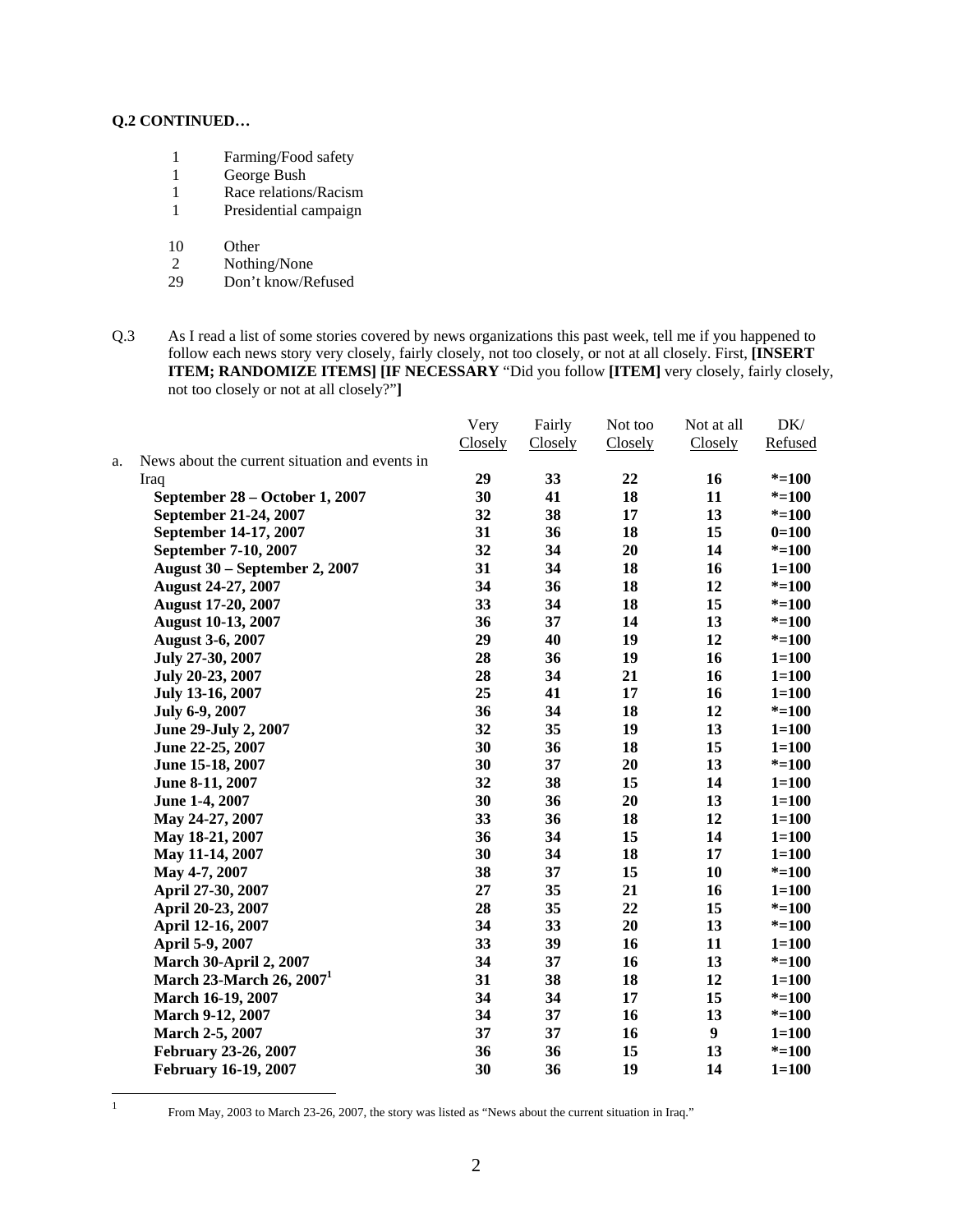- 1 Farming/Food safety<br>1 George Bush
- George Bush
- 1 Race relations/Racism
- 1 Presidential campaign
- 10 Other
- 2 Nothing/None<br>29 Don't know/Re
- Don't know/Refused
- Q.3 As I read a list of some stories covered by news organizations this past week, tell me if you happened to follow each news story very closely, fairly closely, not too closely, or not at all closely. First, **[INSERT ITEM; RANDOMIZE ITEMS] [IF NECESSARY** "Did you follow **[ITEM]** very closely, fairly closely, not too closely or not at all closely?"**]**

|    |                                                | Very    | Fairly  | Not too | Not at all | DK/       |
|----|------------------------------------------------|---------|---------|---------|------------|-----------|
|    |                                                | Closely | Closely | Closely | Closely    | Refused   |
| a. | News about the current situation and events in |         |         |         |            |           |
|    | Iraq                                           | 29      | 33      | 22      | 16         | $* = 100$ |
|    | September 28 – October 1, 2007                 | 30      | 41      | 18      | 11         | $* = 100$ |
|    | September 21-24, 2007                          | 32      | 38      | 17      | 13         | $* = 100$ |
|    | September 14-17, 2007                          | 31      | 36      | 18      | 15         | $0=100$   |
|    | September 7-10, 2007                           | 32      | 34      | 20      | 14         | $* = 100$ |
|    | August 30 - September 2, 2007                  | 31      | 34      | 18      | 16         | $1 = 100$ |
|    | <b>August 24-27, 2007</b>                      | 34      | 36      | 18      | 12         | $* = 100$ |
|    | <b>August 17-20, 2007</b>                      | 33      | 34      | 18      | 15         | $* = 100$ |
|    | <b>August 10-13, 2007</b>                      | 36      | 37      | 14      | 13         | $* = 100$ |
|    | <b>August 3-6, 2007</b>                        | 29      | 40      | 19      | 12         | $* = 100$ |
|    | July 27-30, 2007                               | 28      | 36      | 19      | 16         | $1 = 100$ |
|    | July 20-23, 2007                               | 28      | 34      | 21      | 16         | $1 = 100$ |
|    | July 13-16, 2007                               | 25      | 41      | 17      | 16         | $1 = 100$ |
|    | July 6-9, 2007                                 | 36      | 34      | 18      | 12         | $* = 100$ |
|    | June 29-July 2, 2007                           | 32      | 35      | 19      | 13         | $1 = 100$ |
|    | June 22-25, 2007                               | 30      | 36      | 18      | 15         | $1 = 100$ |
|    | June 15-18, 2007                               | 30      | 37      | 20      | 13         | $* = 100$ |
|    | June 8-11, 2007                                | 32      | 38      | 15      | 14         | $1 = 100$ |
|    | June 1-4, 2007                                 | 30      | 36      | 20      | 13         | $1 = 100$ |
|    | May 24-27, 2007                                | 33      | 36      | 18      | 12         | $1 = 100$ |
|    | May 18-21, 2007                                | 36      | 34      | 15      | 14         | $1 = 100$ |
|    | May 11-14, 2007                                | 30      | 34      | 18      | 17         | $1 = 100$ |
|    | May 4-7, 2007                                  | 38      | 37      | 15      | 10         | $* = 100$ |
|    | April 27-30, 2007                              | 27      | 35      | 21      | 16         | $1 = 100$ |
|    | April 20-23, 2007                              | 28      | 35      | 22      | 15         | $* = 100$ |
|    | April 12-16, 2007                              | 34      | 33      | 20      | 13         | $* = 100$ |
|    | April 5-9, 2007                                | 33      | 39      | 16      | 11         | $1 = 100$ |
|    | <b>March 30-April 2, 2007</b>                  | 34      | 37      | 16      | 13         | $* = 100$ |
|    | March 23-March 26, $20071$                     | 31      | 38      | 18      | 12         | $1 = 100$ |
|    | March 16-19, 2007                              | 34      | 34      | 17      | 15         | $* = 100$ |
|    | March 9-12, 2007                               | 34      | 37      | 16      | 13         | $* = 100$ |
|    | March 2-5, 2007                                | 37      | 37      | 16      | 9          | $1 = 100$ |
|    | February 23-26, 2007                           | 36      | 36      | 15      | 13         | $* = 100$ |
|    | <b>February 16-19, 2007</b>                    | 30      | 36      | 19      | 14         | $1 = 100$ |
|    |                                                |         |         |         |            |           |

 $\frac{1}{1}$ 

From May, 2003 to March 23-26, 2007, the story was listed as "News about the current situation in Iraq."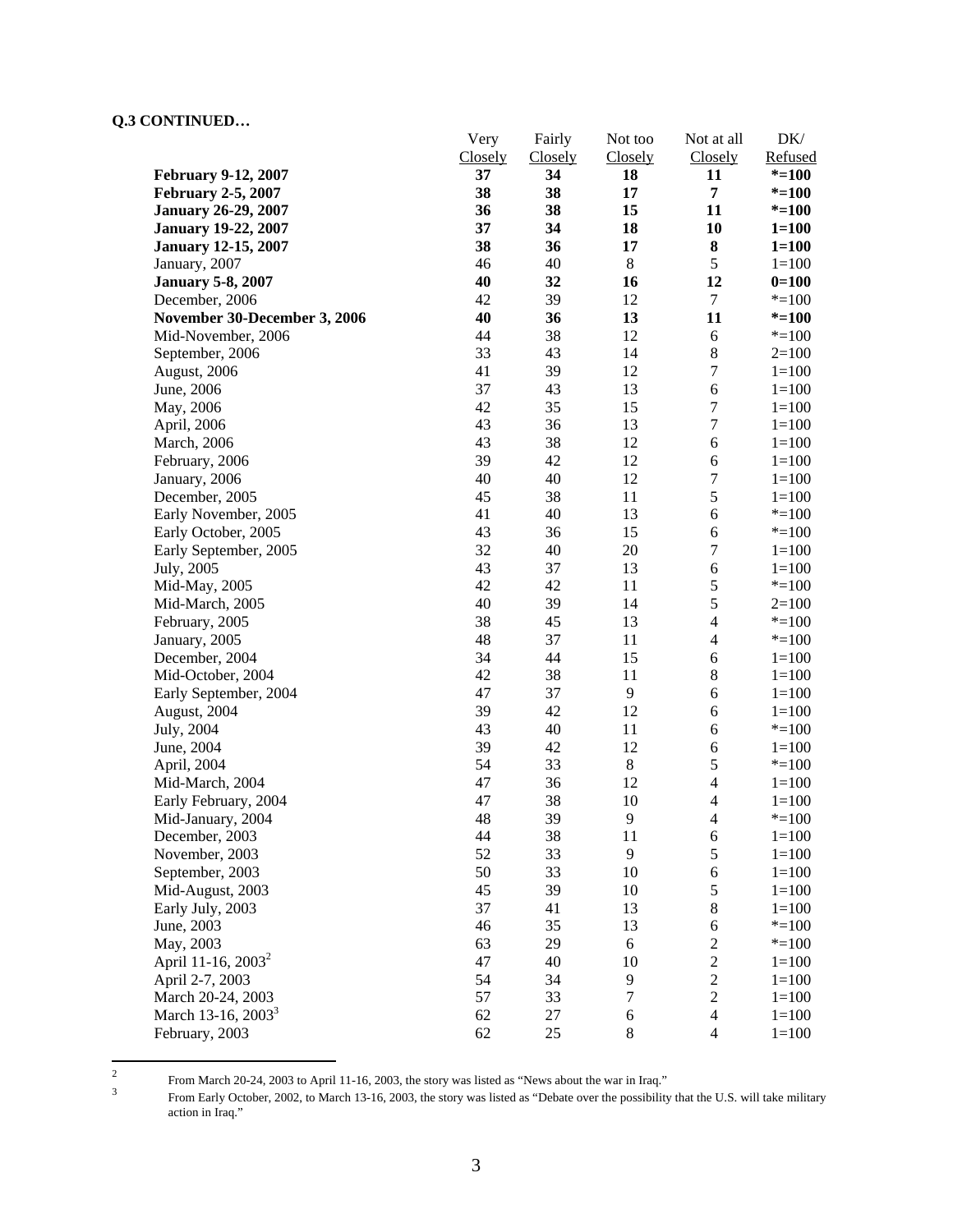|                                | Very    | Fairly         | Not too          | Not at all               | DK/       |
|--------------------------------|---------|----------------|------------------|--------------------------|-----------|
|                                | Closely | <b>Closely</b> | Closely          | <b>Closely</b>           | Refused   |
| <b>February 9-12, 2007</b>     | 37      | 34             | 18               | 11                       | $* = 100$ |
| <b>February 2-5, 2007</b>      | 38      | 38             | 17               | 7                        | $* = 100$ |
| <b>January 26-29, 2007</b>     | 36      | 38             | 15               | 11                       | $* = 100$ |
| <b>January 19-22, 2007</b>     | 37      | 34             | 18               | 10                       | $1 = 100$ |
| <b>January 12-15, 2007</b>     | 38      | 36             | 17               | 8                        | $1 = 100$ |
| January, 2007                  | 46      | 40             | $\,8\,$          | 5                        | $1 = 100$ |
| <b>January 5-8, 2007</b>       | 40      | 32             | 16               | 12                       | $0=100$   |
| December, 2006                 | 42      | 39             | 12               | 7                        | $* = 100$ |
| November 30-December 3, 2006   | 40      | 36             | 13               | 11                       | $* = 100$ |
| Mid-November, 2006             | 44      | 38             | 12               | 6                        | $* = 100$ |
| September, 2006                | 33      | 43             | 14               | $8\,$                    | $2=100$   |
| August, 2006                   | 41      | 39             | 12               | $\overline{7}$           | $1 = 100$ |
| June, 2006                     | 37      | 43             | 13               | $\sqrt{6}$               | $1 = 100$ |
| May, 2006                      | 42      | 35             | 15               | $\overline{7}$           | $1 = 100$ |
| April, 2006                    | 43      | 36             | 13               | $\overline{7}$           | $1 = 100$ |
| March, 2006                    | 43      | 38             | 12               | 6                        | $1 = 100$ |
| February, 2006                 | 39      | 42             | 12               | 6                        | $1 = 100$ |
| January, 2006                  | 40      | 40             | 12               | $\sqrt{ }$               | $1 = 100$ |
| December, 2005                 | 45      | 38             | 11               | 5                        | $1 = 100$ |
| Early November, 2005           | 41      | 40             | 13               | 6                        | $* = 100$ |
| Early October, 2005            | 43      | 36             | 15               | 6                        | $* = 100$ |
| Early September, 2005          | 32      | 40             | 20               | $\boldsymbol{7}$         | $1 = 100$ |
| July, 2005                     | 43      | 37             | 13               | 6                        | $1 = 100$ |
| Mid-May, 2005                  | 42      | 42             | 11               | 5                        | $* = 100$ |
| Mid-March, 2005                | 40      | 39             | 14               | 5                        | $2=100$   |
| February, 2005                 | 38      | 45             | 13               | $\overline{\mathcal{L}}$ | $* = 100$ |
| January, 2005                  | 48      | 37             | 11               | 4                        | $* = 100$ |
| December, 2004                 | 34      | 44             | 15               | 6                        | $1 = 100$ |
| Mid-October, 2004              | 42      | 38             | 11               | $\,8\,$                  | $1=100$   |
| Early September, 2004          | 47      | 37             | $\mathbf{9}$     | 6                        | $1 = 100$ |
| August, 2004                   | 39      | 42             | 12               | 6                        | $1=100$   |
| July, 2004                     | 43      | 40             | 11               | 6                        | $* = 100$ |
| June, 2004                     | 39      | 42             | 12               | 6                        | $1=100$   |
| April, 2004                    | 54      | 33             | $\,8\,$          | 5                        | $* = 100$ |
| Mid-March, 2004                | 47      | 36             | 12               | $\overline{\mathcal{L}}$ | $1 = 100$ |
| Early February, 2004           | 47      | 38             | 10               | $\overline{4}$           | $1 = 100$ |
| Mid-January, 2004              | 48      | 39             | $\overline{9}$   | $\overline{4}$           | $* = 100$ |
| December, 2003                 | 44      | 38             | 11               | 6                        | $1 = 100$ |
| November, 2003                 | 52      | 33             | 9                | 5                        | $1 = 100$ |
| September, 2003                | 50      | 33             | 10               | 6                        | $1 = 100$ |
| Mid-August, 2003               | 45      | 39             | 10               | 5                        | $1 = 100$ |
| Early July, 2003               | 37      | 41             | 13               | 8                        | $1 = 100$ |
| June, 2003                     | 46      | 35             | 13               | 6                        | $* = 100$ |
| May, 2003                      | 63      | 29             | 6                | $\overline{c}$           | $* = 100$ |
| April 11-16, 2003 <sup>2</sup> | 47      | 40             | 10               | $\overline{c}$           | $1 = 100$ |
| April 2-7, 2003                | 54      | 34             | 9                | $\sqrt{2}$               | $1 = 100$ |
| March 20-24, 2003              | 57      | 33             | $\boldsymbol{7}$ | $\overline{c}$           | $1 = 100$ |
| March 13-16, 2003 <sup>3</sup> | 62      | $27\,$         | $\sqrt{6}$       | $\overline{4}$           | $1 = 100$ |
| February, 2003                 | 62      | 25             | $8\,$            | $\overline{4}$           | $1 = 100$ |
|                                |         |                |                  |                          |           |

 $\frac{1}{2}$ From March 20-24, 2003 to April 11-16, 2003, the story was listed as "News about the war in Iraq."  $\frac{3}{2}$  From Early October 2002, to March 13, 16, 2003, the story was listed as "Debate over the possibility

From Early October, 2002, to March 13-16, 2003, the story was listed as "Debate over the possibility that the U.S. will take military action in Iraq."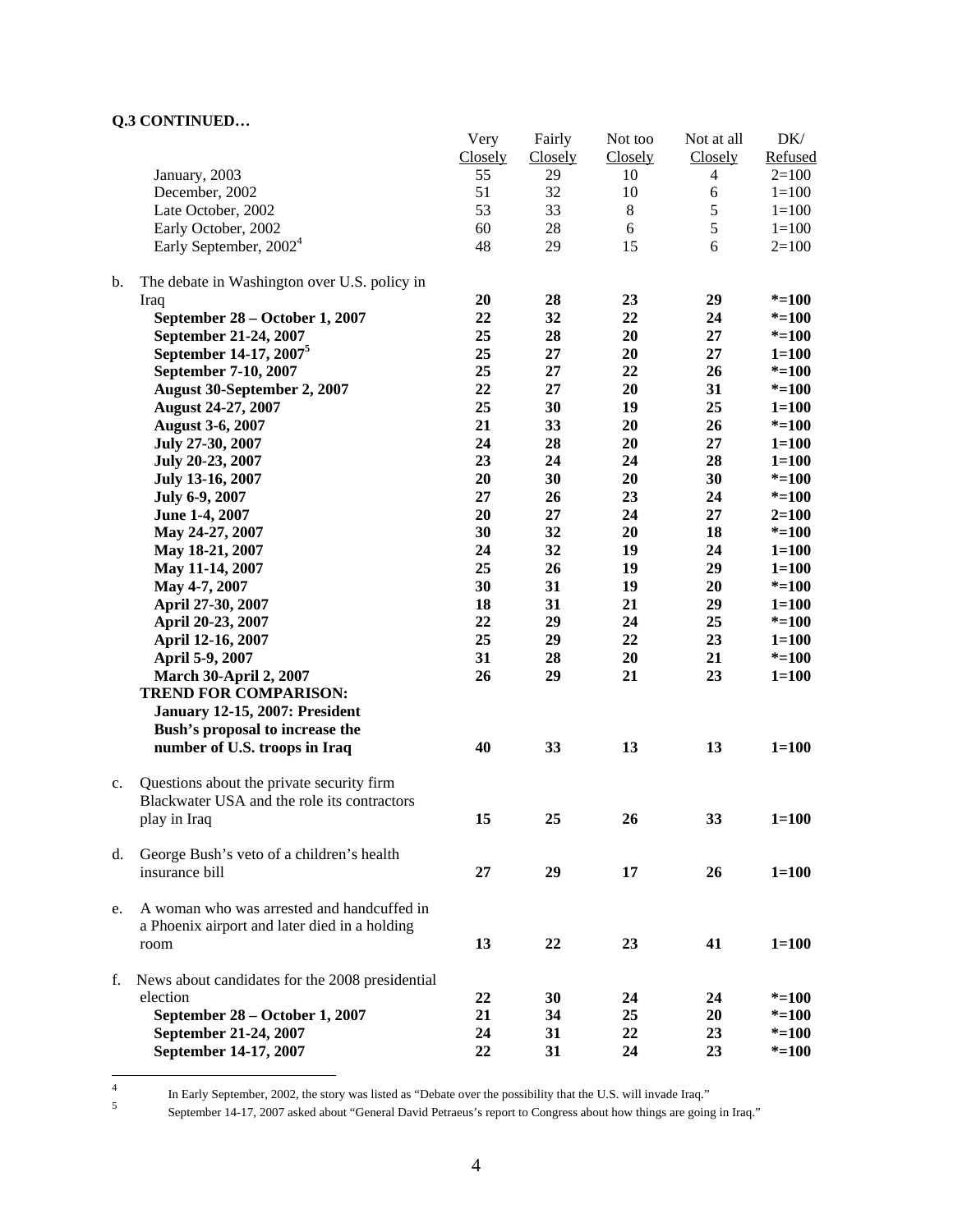|                |                                                 | Very    | Fairly         | Not too | Not at all | DK/       |
|----------------|-------------------------------------------------|---------|----------------|---------|------------|-----------|
|                |                                                 | Closely | <b>Closely</b> | Closely | Closely    | Refused   |
|                | January, 2003                                   | 55      | 29             | 10      | 4          | $2=100$   |
|                | December, 2002                                  | 51      | 32             | 10      | 6          | $1 = 100$ |
|                | Late October, 2002                              | 53      | 33             | $\,8\,$ | 5          | $1 = 100$ |
|                | Early October, 2002                             | 60      | $28\,$         | 6       | 5          | $1 = 100$ |
|                | Early September, 2002 <sup>4</sup>              | 48      | 29             | 15      | 6          | $2=100$   |
|                |                                                 |         |                |         |            |           |
| $\mathbf{b}$ . | The debate in Washington over U.S. policy in    |         |                |         |            |           |
|                | Iraq                                            | 20      | 28             | 23      | 29         | $* = 100$ |
|                | September 28 – October 1, 2007                  | 22      | 32             | 22      | 24         | $* = 100$ |
|                | September 21-24, 2007                           | 25      | 28             | 20      | 27         | $* = 100$ |
|                | September 14-17, 2007 <sup>5</sup>              | 25      | 27             | 20      | 27         | $1 = 100$ |
|                | September 7-10, 2007                            | 25      | 27             | 22      | 26         | $* = 100$ |
|                | August 30-September 2, 2007                     | 22      | 27             | 20      | 31         | $* = 100$ |
|                | <b>August 24-27, 2007</b>                       | 25      | 30             | 19      | 25         | $1 = 100$ |
|                | <b>August 3-6, 2007</b>                         | 21      | 33             | 20      | 26         | $* = 100$ |
|                | July 27-30, 2007                                | 24      | 28             | 20      | 27         | $1 = 100$ |
|                | July 20-23, 2007                                | 23      | 24             | 24      | 28         | $1 = 100$ |
|                |                                                 | 20      | 30             | 20      | 30         |           |
|                | July 13-16, 2007                                |         |                |         |            | $* = 100$ |
|                | July 6-9, 2007                                  | 27      | 26             | 23      | 24         | $* = 100$ |
|                | June 1-4, 2007                                  | 20      | 27             | 24      | 27         | $2 = 100$ |
|                | May 24-27, 2007                                 | 30      | 32             | 20      | 18         | $* = 100$ |
|                | May 18-21, 2007                                 | 24      | 32             | 19      | 24         | $1 = 100$ |
|                | May 11-14, 2007                                 | 25      | 26             | 19      | 29         | $1 = 100$ |
|                | May 4-7, 2007                                   | 30      | 31             | 19      | 20         | $* = 100$ |
|                | April 27-30, 2007                               | 18      | 31             | 21      | 29         | $1 = 100$ |
|                | April 20-23, 2007                               | 22      | 29             | 24      | 25         | $* = 100$ |
|                | April 12-16, 2007                               | 25      | 29             | 22      | 23         | $1 = 100$ |
|                | April 5-9, 2007                                 | 31      | 28             | 20      | 21         | $* = 100$ |
|                | <b>March 30-April 2, 2007</b>                   | 26      | 29             | 21      | 23         | $1 = 100$ |
|                | <b>TREND FOR COMPARISON:</b>                    |         |                |         |            |           |
|                | <b>January 12-15, 2007: President</b>           |         |                |         |            |           |
|                | Bush's proposal to increase the                 |         |                |         |            |           |
|                | number of U.S. troops in Iraq                   | 40      | 33             | 13      | 13         | $1 = 100$ |
|                |                                                 |         |                |         |            |           |
| $c_{\cdot}$    | Questions about the private security firm       |         |                |         |            |           |
|                | Blackwater USA and the role its contractors     |         |                |         |            |           |
|                | play in Iraq                                    | 15      | 25             | 26      | 33         | $1 = 100$ |
| d.             | George Bush's veto of a children's health       |         |                |         |            |           |
|                | insurance bill                                  | 27      | 29             | 17      | 26         | $1 = 100$ |
|                |                                                 |         |                |         |            |           |
| e.             | A woman who was arrested and handcuffed in      |         |                |         |            |           |
|                | a Phoenix airport and later died in a holding   |         |                |         |            |           |
|                | room                                            | 13      | 22             | 23      | 41         | $1 = 100$ |
|                |                                                 |         |                |         |            |           |
| f.             | News about candidates for the 2008 presidential |         |                |         |            |           |
|                | election                                        | 22      | 30             | 24      | 24         | $* = 100$ |
|                | September 28 – October 1, 2007                  | 21      | 34             | 25      | 20         | $* = 100$ |
|                | September 21-24, 2007                           | 24      | 31             | 22      | 23         | $* = 100$ |
|                | September 14-17, 2007                           | 22      | 31             | 24      | 23         | $* = 100$ |
|                |                                                 |         |                |         |            |           |

 $\frac{1}{4}$ 

September 14-17, 2007 asked about "General David Petraeus's report to Congress about how things are going in Iraq."

In Early September, 2002, the story was listed as "Debate over the possibility that the U.S. will invade Iraq."<br>September 14.17, 2007 select about "Cancel David Betracus's generate Cancerse about haur things are going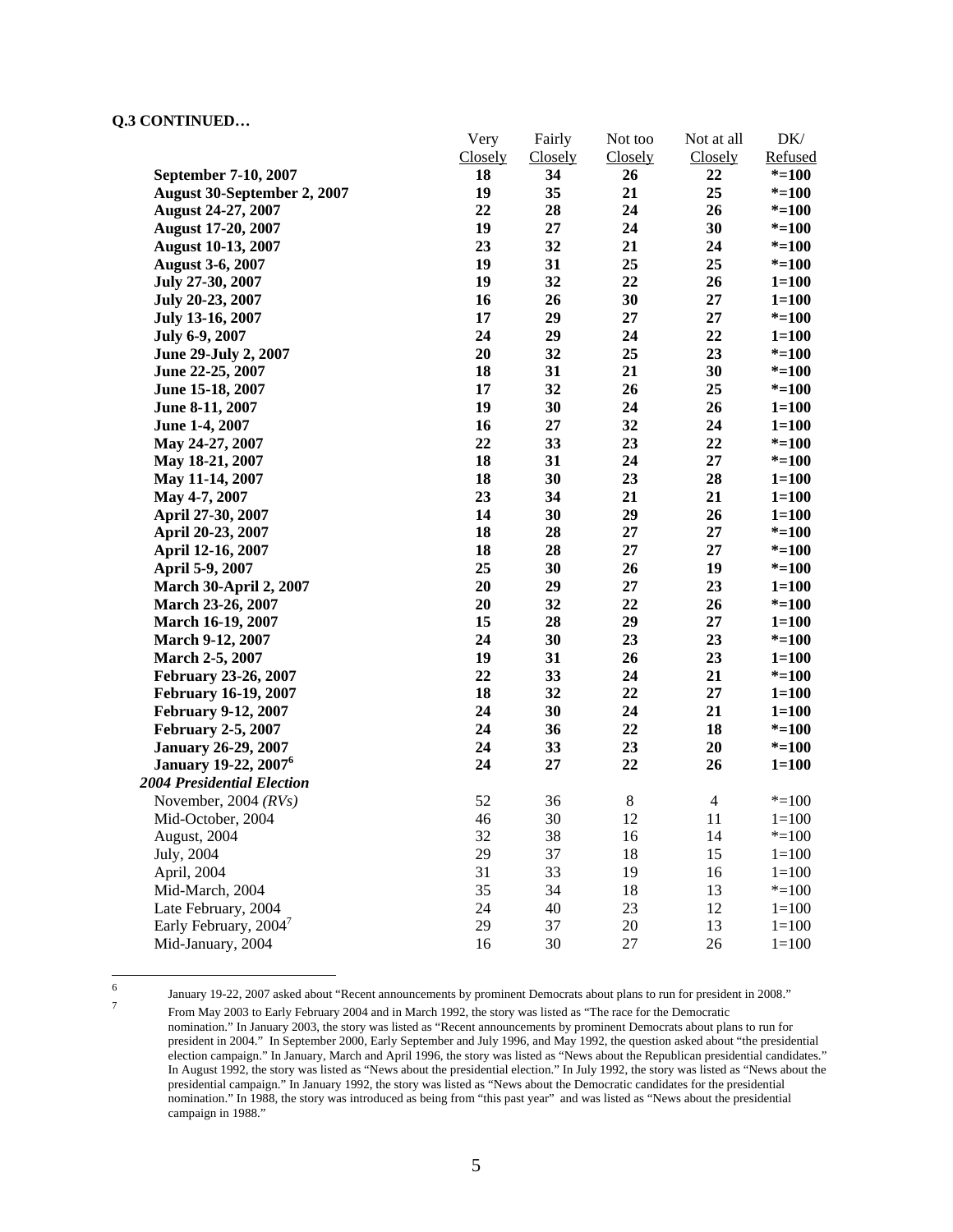| Closely<br>Closely<br>Closely<br>Refused<br><b>Closely</b><br>18<br>34<br>26<br>22<br>$* = 100$<br>September 7-10, 2007<br>35<br>25<br>19<br>21<br>$* = 100$<br>August 30-September 2, 2007<br>22<br>28<br>24<br>26<br><b>August 24-27, 2007</b><br>$* = 100$<br>19<br>30<br><b>August 17-20, 2007</b><br>27<br>24<br>$* = 100$<br>23<br>32<br>21<br>24<br>$* = 100$<br><b>August 10-13, 2007</b><br>19<br>31<br>25<br>25<br><b>August 3-6, 2007</b><br>$* = 100$<br>32<br>22<br>19<br>26<br>July 27-30, 2007<br>$1 = 100$<br>30<br>27<br>16<br>26<br>$1 = 100$<br>July 20-23, 2007<br>17<br>29<br>27<br>27<br>July 13-16, 2007<br>$* = 100$<br>24<br>29<br>22<br>24<br>$1 = 100$<br>July 6-9, 2007<br>20<br>32<br>25<br>23<br>$* = 100$<br>June 29-July 2, 2007<br>18<br>31<br>21<br>30<br>$* = 100$<br>June 22-25, 2007<br>17<br>32<br>25<br>26<br>$* = 100$<br>June 15-18, 2007<br>19<br>30<br>24<br>26<br>June 8-11, 2007<br>$1 = 100$<br>16<br>27<br>32<br>24<br>$1 = 100$<br>June 1-4, 2007<br>22<br>23<br>22<br>33<br>May 24-27, 2007<br>$* = 100$<br>18<br>$27\,$<br>31<br>24<br>May 18-21, 2007<br>$* = 100$<br>30<br>18<br>23<br>28<br>May 11-14, 2007<br>$1 = 100$<br>23<br>34<br>21<br>21<br>May 4-7, 2007<br>$1 = 100$<br>14<br>30<br>29<br>26<br>$1 = 100$<br>April 27-30, 2007<br>18<br>28<br>27<br>27<br>$* = 100$<br>April 20-23, 2007<br>18<br>$27\,$<br>28<br>27<br>$* = 100$<br>April 12-16, 2007<br>25<br>30<br>26<br>19<br>$* = 100$<br>April 5-9, 2007<br>20<br>29<br>23<br>27<br>$1 = 100$<br><b>March 30-April 2, 2007</b><br>20<br>32<br>22<br>26<br>March 23-26, 2007<br>$* = 100$<br>15<br>28<br>29<br>27<br>March 16-19, 2007<br>$1 = 100$<br>24<br>23<br>30<br>23<br>March 9-12, 2007<br>$* = 100$<br>19<br>23<br>31<br>26<br>March 2-5, 2007<br>$1 = 100$<br>22<br>33<br>21<br>24<br>February 23-26, 2007<br>$* = 100$<br>18<br>32<br>22<br>27<br>$1 = 100$<br>February 16-19, 2007<br>30<br>21<br>24<br>24<br>$1 = 100$<br><b>February 9-12, 2007</b><br>24<br>22<br>18<br>36<br>$* = 100$<br><b>February 2-5, 2007</b><br>24<br>33<br>23<br>20<br>$* = 100$<br><b>January 26-29, 2007</b><br>24<br>22<br><b>January 19-22, 2007</b> <sup>6</sup><br>27<br>26<br>$1 = 100$<br>$\overline{4}$<br>52<br>36<br>$\,8$<br>November, 2004 $(RVs)$<br>$* = 100$<br>12<br>46<br>30<br>11<br>Mid-October, 2004<br>$1 = 100$<br>32<br>38<br>16<br>14<br>August, 2004<br>$* = 100$<br>29<br>July, 2004<br>37<br>18<br>15<br>$1 = 100$<br>33<br>31<br>19<br>$1 = 100$<br>April, 2004<br>16<br>35<br>34<br>18<br>13<br>$* = 100$<br>Mid-March, 2004<br>Late February, 2004<br>24<br>40<br>23<br>12<br>$1 = 100$<br>Early February, 2004 <sup>7</sup><br>29<br>37<br>20<br>13<br>$1 = 100$<br>Mid-January, 2004<br>30<br>27<br>26<br>16<br>$1 = 100$ |                            | Very | Fairly | Not too | Not at all | DK/ |
|------------------------------------------------------------------------------------------------------------------------------------------------------------------------------------------------------------------------------------------------------------------------------------------------------------------------------------------------------------------------------------------------------------------------------------------------------------------------------------------------------------------------------------------------------------------------------------------------------------------------------------------------------------------------------------------------------------------------------------------------------------------------------------------------------------------------------------------------------------------------------------------------------------------------------------------------------------------------------------------------------------------------------------------------------------------------------------------------------------------------------------------------------------------------------------------------------------------------------------------------------------------------------------------------------------------------------------------------------------------------------------------------------------------------------------------------------------------------------------------------------------------------------------------------------------------------------------------------------------------------------------------------------------------------------------------------------------------------------------------------------------------------------------------------------------------------------------------------------------------------------------------------------------------------------------------------------------------------------------------------------------------------------------------------------------------------------------------------------------------------------------------------------------------------------------------------------------------------------------------------------------------------------------------------------------------------------------------------------------------------------------------------------------------------------------------------------------------------------------------------------------------------------------------------------------------------------------------------------------------------------------------------------------------------------------------------------------------------------------------------------------------------|----------------------------|------|--------|---------|------------|-----|
|                                                                                                                                                                                                                                                                                                                                                                                                                                                                                                                                                                                                                                                                                                                                                                                                                                                                                                                                                                                                                                                                                                                                                                                                                                                                                                                                                                                                                                                                                                                                                                                                                                                                                                                                                                                                                                                                                                                                                                                                                                                                                                                                                                                                                                                                                                                                                                                                                                                                                                                                                                                                                                                                                                                                                                        |                            |      |        |         |            |     |
|                                                                                                                                                                                                                                                                                                                                                                                                                                                                                                                                                                                                                                                                                                                                                                                                                                                                                                                                                                                                                                                                                                                                                                                                                                                                                                                                                                                                                                                                                                                                                                                                                                                                                                                                                                                                                                                                                                                                                                                                                                                                                                                                                                                                                                                                                                                                                                                                                                                                                                                                                                                                                                                                                                                                                                        |                            |      |        |         |            |     |
|                                                                                                                                                                                                                                                                                                                                                                                                                                                                                                                                                                                                                                                                                                                                                                                                                                                                                                                                                                                                                                                                                                                                                                                                                                                                                                                                                                                                                                                                                                                                                                                                                                                                                                                                                                                                                                                                                                                                                                                                                                                                                                                                                                                                                                                                                                                                                                                                                                                                                                                                                                                                                                                                                                                                                                        |                            |      |        |         |            |     |
|                                                                                                                                                                                                                                                                                                                                                                                                                                                                                                                                                                                                                                                                                                                                                                                                                                                                                                                                                                                                                                                                                                                                                                                                                                                                                                                                                                                                                                                                                                                                                                                                                                                                                                                                                                                                                                                                                                                                                                                                                                                                                                                                                                                                                                                                                                                                                                                                                                                                                                                                                                                                                                                                                                                                                                        |                            |      |        |         |            |     |
|                                                                                                                                                                                                                                                                                                                                                                                                                                                                                                                                                                                                                                                                                                                                                                                                                                                                                                                                                                                                                                                                                                                                                                                                                                                                                                                                                                                                                                                                                                                                                                                                                                                                                                                                                                                                                                                                                                                                                                                                                                                                                                                                                                                                                                                                                                                                                                                                                                                                                                                                                                                                                                                                                                                                                                        |                            |      |        |         |            |     |
|                                                                                                                                                                                                                                                                                                                                                                                                                                                                                                                                                                                                                                                                                                                                                                                                                                                                                                                                                                                                                                                                                                                                                                                                                                                                                                                                                                                                                                                                                                                                                                                                                                                                                                                                                                                                                                                                                                                                                                                                                                                                                                                                                                                                                                                                                                                                                                                                                                                                                                                                                                                                                                                                                                                                                                        |                            |      |        |         |            |     |
|                                                                                                                                                                                                                                                                                                                                                                                                                                                                                                                                                                                                                                                                                                                                                                                                                                                                                                                                                                                                                                                                                                                                                                                                                                                                                                                                                                                                                                                                                                                                                                                                                                                                                                                                                                                                                                                                                                                                                                                                                                                                                                                                                                                                                                                                                                                                                                                                                                                                                                                                                                                                                                                                                                                                                                        |                            |      |        |         |            |     |
|                                                                                                                                                                                                                                                                                                                                                                                                                                                                                                                                                                                                                                                                                                                                                                                                                                                                                                                                                                                                                                                                                                                                                                                                                                                                                                                                                                                                                                                                                                                                                                                                                                                                                                                                                                                                                                                                                                                                                                                                                                                                                                                                                                                                                                                                                                                                                                                                                                                                                                                                                                                                                                                                                                                                                                        |                            |      |        |         |            |     |
|                                                                                                                                                                                                                                                                                                                                                                                                                                                                                                                                                                                                                                                                                                                                                                                                                                                                                                                                                                                                                                                                                                                                                                                                                                                                                                                                                                                                                                                                                                                                                                                                                                                                                                                                                                                                                                                                                                                                                                                                                                                                                                                                                                                                                                                                                                                                                                                                                                                                                                                                                                                                                                                                                                                                                                        |                            |      |        |         |            |     |
|                                                                                                                                                                                                                                                                                                                                                                                                                                                                                                                                                                                                                                                                                                                                                                                                                                                                                                                                                                                                                                                                                                                                                                                                                                                                                                                                                                                                                                                                                                                                                                                                                                                                                                                                                                                                                                                                                                                                                                                                                                                                                                                                                                                                                                                                                                                                                                                                                                                                                                                                                                                                                                                                                                                                                                        |                            |      |        |         |            |     |
|                                                                                                                                                                                                                                                                                                                                                                                                                                                                                                                                                                                                                                                                                                                                                                                                                                                                                                                                                                                                                                                                                                                                                                                                                                                                                                                                                                                                                                                                                                                                                                                                                                                                                                                                                                                                                                                                                                                                                                                                                                                                                                                                                                                                                                                                                                                                                                                                                                                                                                                                                                                                                                                                                                                                                                        |                            |      |        |         |            |     |
|                                                                                                                                                                                                                                                                                                                                                                                                                                                                                                                                                                                                                                                                                                                                                                                                                                                                                                                                                                                                                                                                                                                                                                                                                                                                                                                                                                                                                                                                                                                                                                                                                                                                                                                                                                                                                                                                                                                                                                                                                                                                                                                                                                                                                                                                                                                                                                                                                                                                                                                                                                                                                                                                                                                                                                        |                            |      |        |         |            |     |
|                                                                                                                                                                                                                                                                                                                                                                                                                                                                                                                                                                                                                                                                                                                                                                                                                                                                                                                                                                                                                                                                                                                                                                                                                                                                                                                                                                                                                                                                                                                                                                                                                                                                                                                                                                                                                                                                                                                                                                                                                                                                                                                                                                                                                                                                                                                                                                                                                                                                                                                                                                                                                                                                                                                                                                        |                            |      |        |         |            |     |
|                                                                                                                                                                                                                                                                                                                                                                                                                                                                                                                                                                                                                                                                                                                                                                                                                                                                                                                                                                                                                                                                                                                                                                                                                                                                                                                                                                                                                                                                                                                                                                                                                                                                                                                                                                                                                                                                                                                                                                                                                                                                                                                                                                                                                                                                                                                                                                                                                                                                                                                                                                                                                                                                                                                                                                        |                            |      |        |         |            |     |
|                                                                                                                                                                                                                                                                                                                                                                                                                                                                                                                                                                                                                                                                                                                                                                                                                                                                                                                                                                                                                                                                                                                                                                                                                                                                                                                                                                                                                                                                                                                                                                                                                                                                                                                                                                                                                                                                                                                                                                                                                                                                                                                                                                                                                                                                                                                                                                                                                                                                                                                                                                                                                                                                                                                                                                        |                            |      |        |         |            |     |
|                                                                                                                                                                                                                                                                                                                                                                                                                                                                                                                                                                                                                                                                                                                                                                                                                                                                                                                                                                                                                                                                                                                                                                                                                                                                                                                                                                                                                                                                                                                                                                                                                                                                                                                                                                                                                                                                                                                                                                                                                                                                                                                                                                                                                                                                                                                                                                                                                                                                                                                                                                                                                                                                                                                                                                        |                            |      |        |         |            |     |
|                                                                                                                                                                                                                                                                                                                                                                                                                                                                                                                                                                                                                                                                                                                                                                                                                                                                                                                                                                                                                                                                                                                                                                                                                                                                                                                                                                                                                                                                                                                                                                                                                                                                                                                                                                                                                                                                                                                                                                                                                                                                                                                                                                                                                                                                                                                                                                                                                                                                                                                                                                                                                                                                                                                                                                        |                            |      |        |         |            |     |
|                                                                                                                                                                                                                                                                                                                                                                                                                                                                                                                                                                                                                                                                                                                                                                                                                                                                                                                                                                                                                                                                                                                                                                                                                                                                                                                                                                                                                                                                                                                                                                                                                                                                                                                                                                                                                                                                                                                                                                                                                                                                                                                                                                                                                                                                                                                                                                                                                                                                                                                                                                                                                                                                                                                                                                        |                            |      |        |         |            |     |
|                                                                                                                                                                                                                                                                                                                                                                                                                                                                                                                                                                                                                                                                                                                                                                                                                                                                                                                                                                                                                                                                                                                                                                                                                                                                                                                                                                                                                                                                                                                                                                                                                                                                                                                                                                                                                                                                                                                                                                                                                                                                                                                                                                                                                                                                                                                                                                                                                                                                                                                                                                                                                                                                                                                                                                        |                            |      |        |         |            |     |
|                                                                                                                                                                                                                                                                                                                                                                                                                                                                                                                                                                                                                                                                                                                                                                                                                                                                                                                                                                                                                                                                                                                                                                                                                                                                                                                                                                                                                                                                                                                                                                                                                                                                                                                                                                                                                                                                                                                                                                                                                                                                                                                                                                                                                                                                                                                                                                                                                                                                                                                                                                                                                                                                                                                                                                        |                            |      |        |         |            |     |
|                                                                                                                                                                                                                                                                                                                                                                                                                                                                                                                                                                                                                                                                                                                                                                                                                                                                                                                                                                                                                                                                                                                                                                                                                                                                                                                                                                                                                                                                                                                                                                                                                                                                                                                                                                                                                                                                                                                                                                                                                                                                                                                                                                                                                                                                                                                                                                                                                                                                                                                                                                                                                                                                                                                                                                        |                            |      |        |         |            |     |
|                                                                                                                                                                                                                                                                                                                                                                                                                                                                                                                                                                                                                                                                                                                                                                                                                                                                                                                                                                                                                                                                                                                                                                                                                                                                                                                                                                                                                                                                                                                                                                                                                                                                                                                                                                                                                                                                                                                                                                                                                                                                                                                                                                                                                                                                                                                                                                                                                                                                                                                                                                                                                                                                                                                                                                        |                            |      |        |         |            |     |
|                                                                                                                                                                                                                                                                                                                                                                                                                                                                                                                                                                                                                                                                                                                                                                                                                                                                                                                                                                                                                                                                                                                                                                                                                                                                                                                                                                                                                                                                                                                                                                                                                                                                                                                                                                                                                                                                                                                                                                                                                                                                                                                                                                                                                                                                                                                                                                                                                                                                                                                                                                                                                                                                                                                                                                        |                            |      |        |         |            |     |
|                                                                                                                                                                                                                                                                                                                                                                                                                                                                                                                                                                                                                                                                                                                                                                                                                                                                                                                                                                                                                                                                                                                                                                                                                                                                                                                                                                                                                                                                                                                                                                                                                                                                                                                                                                                                                                                                                                                                                                                                                                                                                                                                                                                                                                                                                                                                                                                                                                                                                                                                                                                                                                                                                                                                                                        |                            |      |        |         |            |     |
|                                                                                                                                                                                                                                                                                                                                                                                                                                                                                                                                                                                                                                                                                                                                                                                                                                                                                                                                                                                                                                                                                                                                                                                                                                                                                                                                                                                                                                                                                                                                                                                                                                                                                                                                                                                                                                                                                                                                                                                                                                                                                                                                                                                                                                                                                                                                                                                                                                                                                                                                                                                                                                                                                                                                                                        |                            |      |        |         |            |     |
|                                                                                                                                                                                                                                                                                                                                                                                                                                                                                                                                                                                                                                                                                                                                                                                                                                                                                                                                                                                                                                                                                                                                                                                                                                                                                                                                                                                                                                                                                                                                                                                                                                                                                                                                                                                                                                                                                                                                                                                                                                                                                                                                                                                                                                                                                                                                                                                                                                                                                                                                                                                                                                                                                                                                                                        |                            |      |        |         |            |     |
|                                                                                                                                                                                                                                                                                                                                                                                                                                                                                                                                                                                                                                                                                                                                                                                                                                                                                                                                                                                                                                                                                                                                                                                                                                                                                                                                                                                                                                                                                                                                                                                                                                                                                                                                                                                                                                                                                                                                                                                                                                                                                                                                                                                                                                                                                                                                                                                                                                                                                                                                                                                                                                                                                                                                                                        |                            |      |        |         |            |     |
|                                                                                                                                                                                                                                                                                                                                                                                                                                                                                                                                                                                                                                                                                                                                                                                                                                                                                                                                                                                                                                                                                                                                                                                                                                                                                                                                                                                                                                                                                                                                                                                                                                                                                                                                                                                                                                                                                                                                                                                                                                                                                                                                                                                                                                                                                                                                                                                                                                                                                                                                                                                                                                                                                                                                                                        |                            |      |        |         |            |     |
|                                                                                                                                                                                                                                                                                                                                                                                                                                                                                                                                                                                                                                                                                                                                                                                                                                                                                                                                                                                                                                                                                                                                                                                                                                                                                                                                                                                                                                                                                                                                                                                                                                                                                                                                                                                                                                                                                                                                                                                                                                                                                                                                                                                                                                                                                                                                                                                                                                                                                                                                                                                                                                                                                                                                                                        |                            |      |        |         |            |     |
|                                                                                                                                                                                                                                                                                                                                                                                                                                                                                                                                                                                                                                                                                                                                                                                                                                                                                                                                                                                                                                                                                                                                                                                                                                                                                                                                                                                                                                                                                                                                                                                                                                                                                                                                                                                                                                                                                                                                                                                                                                                                                                                                                                                                                                                                                                                                                                                                                                                                                                                                                                                                                                                                                                                                                                        |                            |      |        |         |            |     |
|                                                                                                                                                                                                                                                                                                                                                                                                                                                                                                                                                                                                                                                                                                                                                                                                                                                                                                                                                                                                                                                                                                                                                                                                                                                                                                                                                                                                                                                                                                                                                                                                                                                                                                                                                                                                                                                                                                                                                                                                                                                                                                                                                                                                                                                                                                                                                                                                                                                                                                                                                                                                                                                                                                                                                                        |                            |      |        |         |            |     |
|                                                                                                                                                                                                                                                                                                                                                                                                                                                                                                                                                                                                                                                                                                                                                                                                                                                                                                                                                                                                                                                                                                                                                                                                                                                                                                                                                                                                                                                                                                                                                                                                                                                                                                                                                                                                                                                                                                                                                                                                                                                                                                                                                                                                                                                                                                                                                                                                                                                                                                                                                                                                                                                                                                                                                                        |                            |      |        |         |            |     |
|                                                                                                                                                                                                                                                                                                                                                                                                                                                                                                                                                                                                                                                                                                                                                                                                                                                                                                                                                                                                                                                                                                                                                                                                                                                                                                                                                                                                                                                                                                                                                                                                                                                                                                                                                                                                                                                                                                                                                                                                                                                                                                                                                                                                                                                                                                                                                                                                                                                                                                                                                                                                                                                                                                                                                                        |                            |      |        |         |            |     |
|                                                                                                                                                                                                                                                                                                                                                                                                                                                                                                                                                                                                                                                                                                                                                                                                                                                                                                                                                                                                                                                                                                                                                                                                                                                                                                                                                                                                                                                                                                                                                                                                                                                                                                                                                                                                                                                                                                                                                                                                                                                                                                                                                                                                                                                                                                                                                                                                                                                                                                                                                                                                                                                                                                                                                                        |                            |      |        |         |            |     |
|                                                                                                                                                                                                                                                                                                                                                                                                                                                                                                                                                                                                                                                                                                                                                                                                                                                                                                                                                                                                                                                                                                                                                                                                                                                                                                                                                                                                                                                                                                                                                                                                                                                                                                                                                                                                                                                                                                                                                                                                                                                                                                                                                                                                                                                                                                                                                                                                                                                                                                                                                                                                                                                                                                                                                                        |                            |      |        |         |            |     |
|                                                                                                                                                                                                                                                                                                                                                                                                                                                                                                                                                                                                                                                                                                                                                                                                                                                                                                                                                                                                                                                                                                                                                                                                                                                                                                                                                                                                                                                                                                                                                                                                                                                                                                                                                                                                                                                                                                                                                                                                                                                                                                                                                                                                                                                                                                                                                                                                                                                                                                                                                                                                                                                                                                                                                                        | 2004 Presidential Election |      |        |         |            |     |
|                                                                                                                                                                                                                                                                                                                                                                                                                                                                                                                                                                                                                                                                                                                                                                                                                                                                                                                                                                                                                                                                                                                                                                                                                                                                                                                                                                                                                                                                                                                                                                                                                                                                                                                                                                                                                                                                                                                                                                                                                                                                                                                                                                                                                                                                                                                                                                                                                                                                                                                                                                                                                                                                                                                                                                        |                            |      |        |         |            |     |
|                                                                                                                                                                                                                                                                                                                                                                                                                                                                                                                                                                                                                                                                                                                                                                                                                                                                                                                                                                                                                                                                                                                                                                                                                                                                                                                                                                                                                                                                                                                                                                                                                                                                                                                                                                                                                                                                                                                                                                                                                                                                                                                                                                                                                                                                                                                                                                                                                                                                                                                                                                                                                                                                                                                                                                        |                            |      |        |         |            |     |
|                                                                                                                                                                                                                                                                                                                                                                                                                                                                                                                                                                                                                                                                                                                                                                                                                                                                                                                                                                                                                                                                                                                                                                                                                                                                                                                                                                                                                                                                                                                                                                                                                                                                                                                                                                                                                                                                                                                                                                                                                                                                                                                                                                                                                                                                                                                                                                                                                                                                                                                                                                                                                                                                                                                                                                        |                            |      |        |         |            |     |
|                                                                                                                                                                                                                                                                                                                                                                                                                                                                                                                                                                                                                                                                                                                                                                                                                                                                                                                                                                                                                                                                                                                                                                                                                                                                                                                                                                                                                                                                                                                                                                                                                                                                                                                                                                                                                                                                                                                                                                                                                                                                                                                                                                                                                                                                                                                                                                                                                                                                                                                                                                                                                                                                                                                                                                        |                            |      |        |         |            |     |
|                                                                                                                                                                                                                                                                                                                                                                                                                                                                                                                                                                                                                                                                                                                                                                                                                                                                                                                                                                                                                                                                                                                                                                                                                                                                                                                                                                                                                                                                                                                                                                                                                                                                                                                                                                                                                                                                                                                                                                                                                                                                                                                                                                                                                                                                                                                                                                                                                                                                                                                                                                                                                                                                                                                                                                        |                            |      |        |         |            |     |
|                                                                                                                                                                                                                                                                                                                                                                                                                                                                                                                                                                                                                                                                                                                                                                                                                                                                                                                                                                                                                                                                                                                                                                                                                                                                                                                                                                                                                                                                                                                                                                                                                                                                                                                                                                                                                                                                                                                                                                                                                                                                                                                                                                                                                                                                                                                                                                                                                                                                                                                                                                                                                                                                                                                                                                        |                            |      |        |         |            |     |
|                                                                                                                                                                                                                                                                                                                                                                                                                                                                                                                                                                                                                                                                                                                                                                                                                                                                                                                                                                                                                                                                                                                                                                                                                                                                                                                                                                                                                                                                                                                                                                                                                                                                                                                                                                                                                                                                                                                                                                                                                                                                                                                                                                                                                                                                                                                                                                                                                                                                                                                                                                                                                                                                                                                                                                        |                            |      |        |         |            |     |
|                                                                                                                                                                                                                                                                                                                                                                                                                                                                                                                                                                                                                                                                                                                                                                                                                                                                                                                                                                                                                                                                                                                                                                                                                                                                                                                                                                                                                                                                                                                                                                                                                                                                                                                                                                                                                                                                                                                                                                                                                                                                                                                                                                                                                                                                                                                                                                                                                                                                                                                                                                                                                                                                                                                                                                        |                            |      |        |         |            |     |
|                                                                                                                                                                                                                                                                                                                                                                                                                                                                                                                                                                                                                                                                                                                                                                                                                                                                                                                                                                                                                                                                                                                                                                                                                                                                                                                                                                                                                                                                                                                                                                                                                                                                                                                                                                                                                                                                                                                                                                                                                                                                                                                                                                                                                                                                                                                                                                                                                                                                                                                                                                                                                                                                                                                                                                        |                            |      |        |         |            |     |

 $\frac{1}{6}$ 

<sup>6</sup> January 19-22, 2007 asked about "Recent announcements by prominent Democrats about plans to run for president in 2008." From May 2003 to Early February 2004 and in March 1992, the story was listed as "The race for the Democratic nomination." In January 2003, the story was listed as "Recent announcements by prominent Democrats about plans to run for president in 2004." In September 2000, Early September and July 1996, and May 1992, the question asked about "the presidential election campaign." In January, March and April 1996, the story was listed as "News about the Republican presidential candidates." In August 1992, the story was listed as "News about the presidential election." In July 1992, the story was listed as "News about the presidential campaign." In January 1992, the story was listed as "News about the Democratic candidates for the presidential nomination." In 1988, the story was introduced as being from "this past year" and was listed as "News about the presidential campaign in 1988."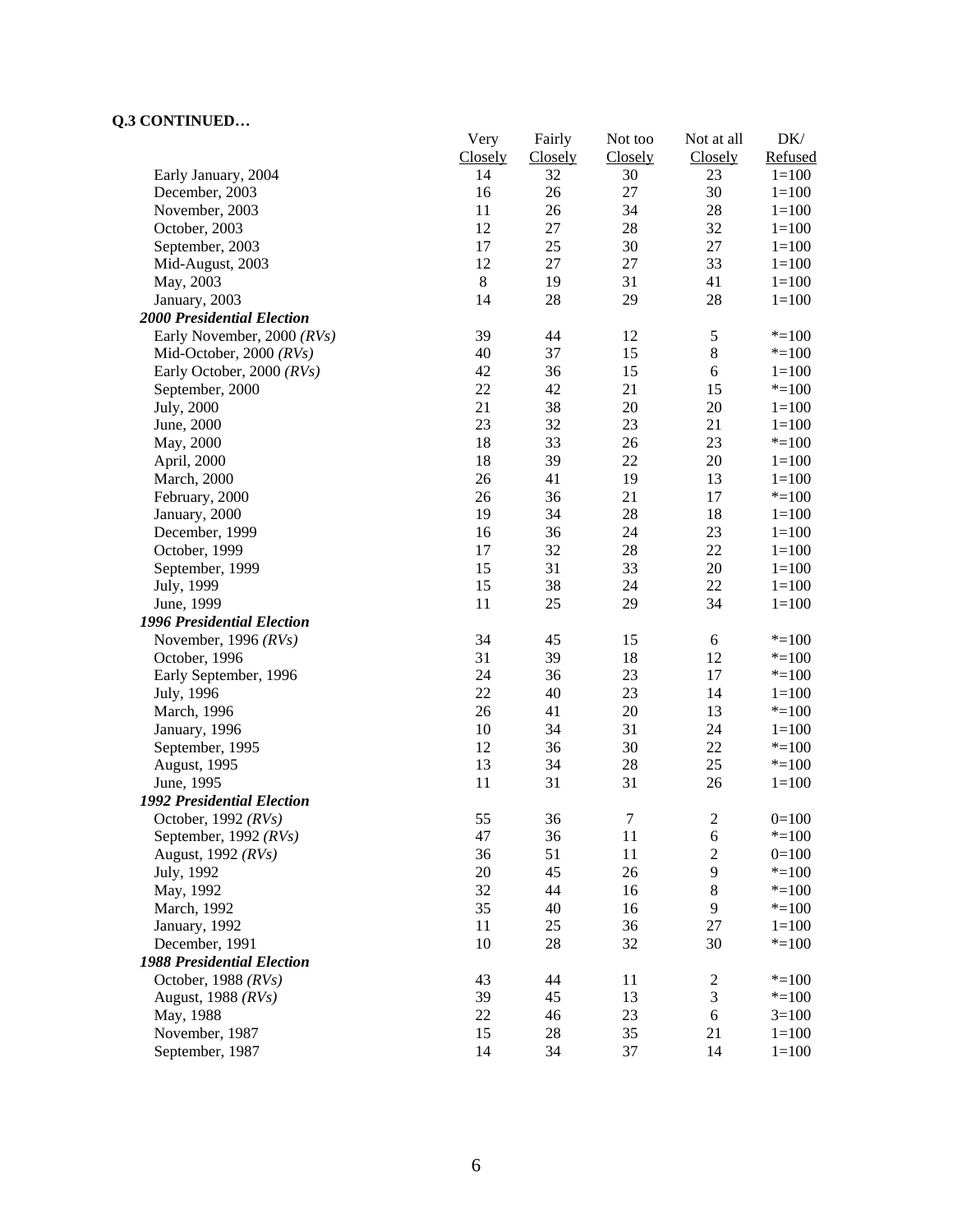|                                                 | Very                 | Fairly               | Not too<br>Closely | Not at all           | $DK/$<br>Refused       |
|-------------------------------------------------|----------------------|----------------------|--------------------|----------------------|------------------------|
| Early January, 2004                             | <b>Closely</b><br>14 | <b>Closely</b><br>32 | 30                 | <b>Closely</b><br>23 | $1 = 100$              |
| December, 2003                                  | 16                   | 26                   | 27                 | 30                   | $1 = 100$              |
| November, 2003                                  | 11                   | 26                   | 34                 | 28                   | $1 = 100$              |
| October, 2003                                   | 12                   | 27                   | $28\,$             | 32                   | $1 = 100$              |
| September, 2003                                 | 17                   | 25                   | 30                 | 27                   | $1 = 100$              |
| Mid-August, 2003                                | 12                   | $27\,$               | $27\,$             | 33                   | $1 = 100$              |
| May, 2003                                       | $8\,$                | 19                   | 31                 | 41                   | $1 = 100$              |
| January, 2003                                   | 14                   | 28                   | 29                 | 28                   | $1 = 100$              |
| 2000 Presidential Election                      |                      |                      |                    |                      |                        |
| Early November, 2000 (RVs)                      | 39                   | 44                   | 12                 | $\sqrt{5}$           | $* = 100$              |
| Mid-October, 2000 $(RVs)$                       | 40                   | 37                   | 15                 | $\,8\,$              | $* = 100$              |
| Early October, 2000 (RVs)                       | 42                   | 36                   | 15                 | 6                    | $1 = 100$              |
| September, 2000                                 | 22                   | 42                   | 21                 | 15                   | $* = 100$              |
| July, 2000                                      | 21                   | 38                   | $20\,$             | 20                   | $1 = 100$              |
| June, 2000                                      | 23                   | 32                   | 23                 | 21                   | $1 = 100$              |
| May, 2000                                       | 18                   | 33                   | 26                 | 23                   | $* = 100$              |
| April, 2000                                     | 18                   | 39                   | 22                 | 20                   | $1 = 100$              |
|                                                 | 26                   | 41                   | 19                 | 13                   | $1 = 100$              |
| March, 2000                                     | 26                   | 36                   | 21                 | 17                   | $* = 100$              |
| February, 2000                                  | 19                   | 34                   | $28\,$             | 18                   | $1 = 100$              |
| January, 2000                                   |                      | 36                   | 24                 | 23                   |                        |
| December, 1999                                  | 16<br>17             | 32                   | 28                 | 22                   | $1 = 100$<br>$1 = 100$ |
| October, 1999                                   | 15                   | 31                   |                    | 20                   |                        |
| September, 1999                                 | 15                   | 38                   | 33<br>24           | 22                   | $1 = 100$              |
| July, 1999                                      | 11                   | 25                   | 29                 | 34                   | $1 = 100$<br>$1 = 100$ |
| June, 1999                                      |                      |                      |                    |                      |                        |
| <b>1996 Presidential Election</b>               |                      |                      |                    |                      |                        |
| November, 1996 $(RVs)$                          | 34                   | 45                   | 15                 | $\sqrt{6}$           | $* = 100$              |
| October, 1996                                   | 31                   | 39                   | 18                 | 12                   | $* = 100$              |
| Early September, 1996                           | 24                   | 36                   | 23                 | 17                   | $* = 100$              |
| July, 1996                                      | 22                   | 40                   | 23                 | 14                   | $1 = 100$              |
| March, 1996                                     | 26                   | 41                   | 20                 | 13                   | $* = 100$              |
| January, 1996                                   | 10                   | 34                   | 31                 | 24                   | $1 = 100$              |
| September, 1995                                 | 12                   | 36                   | 30                 | 22                   | $* = 100$              |
| August, 1995                                    | 13                   | 34                   | 28                 | 25                   | $* = 100$              |
| June, 1995<br><b>1992 Presidential Election</b> | 11                   | 31                   | 31                 | 26                   | $1 = 100$              |
|                                                 | 55                   | 36                   | $\tau$             |                      |                        |
| October, 1992 (RVs)                             |                      |                      |                    | $\overline{c}$       | $0=100$                |
| September, 1992 (RVs)                           | 47                   | 36                   | 11                 | 6                    | $* = 100$              |
| August, 1992 (RVs)                              | 36                   | 51                   | 11                 | $\sqrt{2}$<br>9      | $0=100$                |
| July, 1992                                      | 20                   | 45                   | 26                 |                      | $* = 100$              |
| May, 1992                                       | 32                   | 44                   | 16                 | $\,$ 8 $\,$          | $* = 100$              |
| March, 1992                                     | 35                   | 40                   | 16                 | 9                    | $* = 100$              |
| January, 1992                                   | 11                   | 25                   | 36                 | 27                   | $1 = 100$              |
| December, 1991                                  | 10                   | 28                   | 32                 | 30                   | $* = 100$              |
| <b>1988 Presidential Election</b>               |                      |                      |                    |                      |                        |
| October, 1988 $(RVs)$                           | 43                   | 44                   | 11                 | $\overline{c}$       | $* = 100$              |
| August, 1988 (RVs)                              | 39                   | 45                   | 13                 | $\mathfrak{Z}$       | $* = 100$              |
| May, 1988                                       | 22                   | 46                   | 23                 | $\sqrt{6}$           | $3=100$                |
| November, 1987                                  | 15                   | 28                   | 35                 | 21                   | $1 = 100$              |
| September, 1987                                 | 14                   | 34                   | 37                 | 14                   | $1 = 100$              |